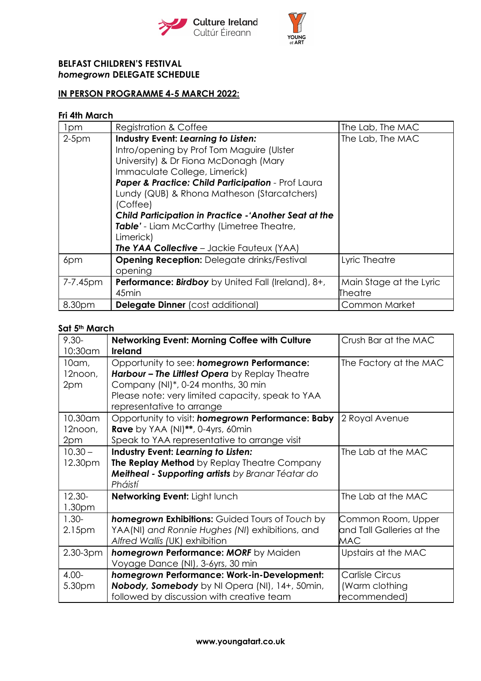



# **BELFAST CHILDREN'S FESTIVAL** *homegrown* **DELEGATE SCHEDULE**

# **IN PERSON PROGRAMME 4-5 MARCH 2022:**

### **Fri 4th March**

| 1pm      | <b>Registration &amp; Coffee</b>                                                                                                                                                                                                                                                                                                                                                                                                                                 | The Lab, The MAC                   |
|----------|------------------------------------------------------------------------------------------------------------------------------------------------------------------------------------------------------------------------------------------------------------------------------------------------------------------------------------------------------------------------------------------------------------------------------------------------------------------|------------------------------------|
| $2-5$ pm | <b>Industry Event: Learning to Listen:</b><br>Intro/opening by Prof Tom Maguire (Ulster<br>University) & Dr Fiona McDonagh (Mary<br>Immaculate College, Limerick)<br>Paper & Practice: Child Participation - Prof Laura<br>Lundy (QUB) & Rhona Matheson (Starcatchers)<br>(Coffee)<br><b>Child Participation in Practice - Another Seat at the</b><br>Table' - Liam McCarthy (Limetree Theatre,<br>Limerick)<br><b>The YAA Collective</b> – Jackie Fauteux (YAA) | The Lab, The MAC                   |
| 6pm      | <b>Opening Reception:</b> Delegate drinks/Festival<br>opening                                                                                                                                                                                                                                                                                                                                                                                                    | Lyric Theatre                      |
| 7-7.45pm | <b>Performance: Birdboy</b> by United Fall (Ireland), 8+,<br>45 <sub>min</sub>                                                                                                                                                                                                                                                                                                                                                                                   | Main Stage at the Lyric<br>Theatre |
| 8.30pm   | <b>Delegate Dinner</b> (cost additional)                                                                                                                                                                                                                                                                                                                                                                                                                         | <b>Common Market</b>               |

### **Sat 5th March**

| $9.30 -$           | Networking Event: Morning Coffee with Culture          | Crush Bar at the MAC      |
|--------------------|--------------------------------------------------------|---------------------------|
| 10:30am            | <b>Ireland</b>                                         |                           |
| $10$ am,           | Opportunity to see: homegrown Performance:             | The Factory at the MAC    |
| 12noon,            | Harbour - The Littlest Opera by Replay Theatre         |                           |
| 2pm                | Company (NI)*, 0-24 months, 30 min                     |                           |
|                    | Please note: very limited capacity, speak to YAA       |                           |
|                    | representative to arrange                              |                           |
| 10.30am            | Opportunity to visit: homegrown Performance: Baby      | 2 Royal Avenue            |
| 12noon,            | <b>Rave</b> by YAA (NI)**, 0-4yrs, 60min               |                           |
| 2pm                | Speak to YAA representative to arrange visit           |                           |
| $10.30 -$          | Industry Event: Learning to Listen:                    | The Lab at the MAC        |
| 12.30pm            | The Replay Method by Replay Theatre Company            |                           |
|                    | Meitheal - Supporting artists by Branar Téatar do      |                           |
|                    | Pháistí                                                |                           |
| 12.30-             | Networking Event: Light lunch                          | The Lab at the MAC        |
| 1.30 <sub>pm</sub> |                                                        |                           |
| $1.30 -$           | <b>homegrown Exhibitions:</b> Guided Tours of Touch by | Common Room, Upper        |
| 2.15pm             | YAA(NI) and Ronnie Hughes (NI) exhibitions, and        | and Tall Galleries at the |
|                    | Alfred Wallis (UK) exhibition                          | MAC                       |
| $2.30 - 3pm$       | homegrown Performance: MORF by Maiden                  | Upstairs at the MAC       |
|                    | Voyage Dance (NI), 3-6yrs, 30 min                      |                           |
| $4.00 -$           | homegrown Performance: Work-in-Development:            | <b>Carlisle Circus</b>    |
| 5.30pm             | Nobody, Somebody by NI Opera (NI), 14+, 50min,         | (Warm clothing            |
|                    | followed by discussion with creative team              | ecommended)               |